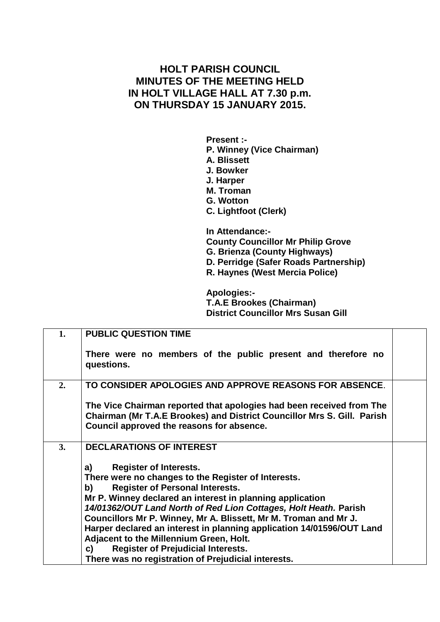## **HOLT PARISH COUNCIL MINUTES OF THE MEETING HELD IN HOLT VILLAGE HALL AT 7.30 p.m. ON THURSDAY 15 JANUARY 2015.**

**Present :- P. Winney (Vice Chairman) A. Blissett J. Bowker J. Harper M. Troman G. Wotton C. Lightfoot (Clerk) In Attendance:- County Councillor Mr Philip Grove**

**G. Brienza (County Highways)**

**D. Perridge (Safer Roads Partnership)**

**R. Haynes (West Mercia Police)**

**Apologies:- T.A.E Brookes (Chairman) District Councillor Mrs Susan Gill**

| 1.               | <b>PUBLIC QUESTION TIME</b>                                                                                                                                                                                                                                                                                                                                                                                                                                                                                                                                                   |
|------------------|-------------------------------------------------------------------------------------------------------------------------------------------------------------------------------------------------------------------------------------------------------------------------------------------------------------------------------------------------------------------------------------------------------------------------------------------------------------------------------------------------------------------------------------------------------------------------------|
|                  | There were no members of the public present and therefore no<br>questions.                                                                                                                                                                                                                                                                                                                                                                                                                                                                                                    |
| $\overline{2}$ . | TO CONSIDER APOLOGIES AND APPROVE REASONS FOR ABSENCE.                                                                                                                                                                                                                                                                                                                                                                                                                                                                                                                        |
|                  | The Vice Chairman reported that apologies had been received from The<br>Chairman (Mr T.A.E Brookes) and District Councillor Mrs S. Gill. Parish<br>Council approved the reasons for absence.                                                                                                                                                                                                                                                                                                                                                                                  |
| 3.               | <b>DECLARATIONS OF INTEREST</b>                                                                                                                                                                                                                                                                                                                                                                                                                                                                                                                                               |
|                  | <b>Register of Interests.</b><br>a)<br>There were no changes to the Register of Interests.<br><b>Register of Personal Interests.</b><br>b)<br>Mr P. Winney declared an interest in planning application<br>14/01362/OUT Land North of Red Lion Cottages, Holt Heath. Parish<br>Councillors Mr P. Winney, Mr A. Blissett, Mr M. Troman and Mr J.<br>Harper declared an interest in planning application 14/01596/OUT Land<br>Adjacent to the Millennium Green, Holt.<br><b>Register of Prejudicial Interests.</b><br>C)<br>There was no registration of Prejudicial interests. |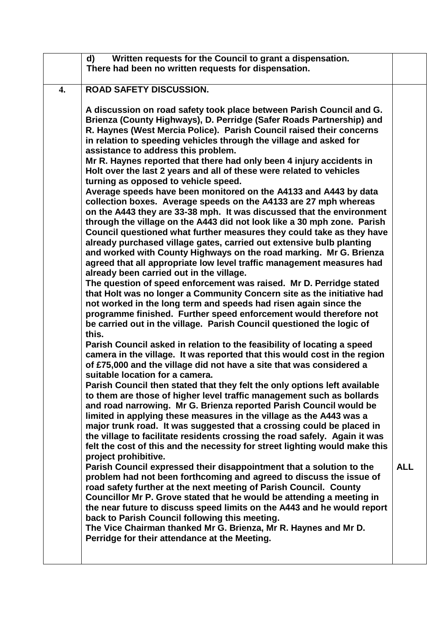|    | Written requests for the Council to grant a dispensation.<br>d)<br>There had been no written requests for dispensation.                                                                                                                                                                                                                                                                                                                                                                                                                                                                                                                                                                                                                                                                                                                                                                                                                                                                                                                                                                                                                                                                                                                                                                                                                                                                                                                                                                                                                                                                                                                                                                                                                                                                                                                                                                                                                                                                                                                                                                                                                                                                                                                                                                                                                                                           |            |
|----|-----------------------------------------------------------------------------------------------------------------------------------------------------------------------------------------------------------------------------------------------------------------------------------------------------------------------------------------------------------------------------------------------------------------------------------------------------------------------------------------------------------------------------------------------------------------------------------------------------------------------------------------------------------------------------------------------------------------------------------------------------------------------------------------------------------------------------------------------------------------------------------------------------------------------------------------------------------------------------------------------------------------------------------------------------------------------------------------------------------------------------------------------------------------------------------------------------------------------------------------------------------------------------------------------------------------------------------------------------------------------------------------------------------------------------------------------------------------------------------------------------------------------------------------------------------------------------------------------------------------------------------------------------------------------------------------------------------------------------------------------------------------------------------------------------------------------------------------------------------------------------------------------------------------------------------------------------------------------------------------------------------------------------------------------------------------------------------------------------------------------------------------------------------------------------------------------------------------------------------------------------------------------------------------------------------------------------------------------------------------------------------|------------|
| 4. | <b>ROAD SAFETY DISCUSSION.</b>                                                                                                                                                                                                                                                                                                                                                                                                                                                                                                                                                                                                                                                                                                                                                                                                                                                                                                                                                                                                                                                                                                                                                                                                                                                                                                                                                                                                                                                                                                                                                                                                                                                                                                                                                                                                                                                                                                                                                                                                                                                                                                                                                                                                                                                                                                                                                    |            |
|    | A discussion on road safety took place between Parish Council and G.<br>Brienza (County Highways), D. Perridge (Safer Roads Partnership) and<br>R. Haynes (West Mercia Police). Parish Council raised their concerns<br>in relation to speeding vehicles through the village and asked for<br>assistance to address this problem.<br>Mr R. Haynes reported that there had only been 4 injury accidents in<br>Holt over the last 2 years and all of these were related to vehicles<br>turning as opposed to vehicle speed.<br>Average speeds have been monitored on the A4133 and A443 by data<br>collection boxes. Average speeds on the A4133 are 27 mph whereas<br>on the A443 they are 33-38 mph. It was discussed that the environment<br>through the village on the A443 did not look like a 30 mph zone. Parish<br>Council questioned what further measures they could take as they have<br>already purchased village gates, carried out extensive bulb planting<br>and worked with County Highways on the road marking. Mr G. Brienza<br>agreed that all appropriate low level traffic management measures had<br>already been carried out in the village.<br>The question of speed enforcement was raised. Mr D. Perridge stated<br>that Holt was no longer a Community Concern site as the initiative had<br>not worked in the long term and speeds had risen again since the<br>programme finished. Further speed enforcement would therefore not<br>be carried out in the village. Parish Council questioned the logic of<br>this.<br>Parish Council asked in relation to the feasibility of locating a speed<br>camera in the village. It was reported that this would cost in the region<br>of £75,000 and the village did not have a site that was considered a<br>suitable location for a camera.<br>Parish Council then stated that they felt the only options left available<br>to them are those of higher level traffic management such as bollards<br>and road narrowing. Mr G. Brienza reported Parish Council would be<br>limited in applying these measures in the village as the A443 was a<br>major trunk road. It was suggested that a crossing could be placed in<br>the village to facilitate residents crossing the road safely. Again it was<br>felt the cost of this and the necessity for street lighting would make this<br>project prohibitive. |            |
|    | Parish Council expressed their disappointment that a solution to the<br>problem had not been forthcoming and agreed to discuss the issue of<br>road safety further at the next meeting of Parish Council. County<br>Councillor Mr P. Grove stated that he would be attending a meeting in<br>the near future to discuss speed limits on the A443 and he would report<br>back to Parish Council following this meeting.<br>The Vice Chairman thanked Mr G. Brienza, Mr R. Haynes and Mr D.<br>Perridge for their attendance at the Meeting.                                                                                                                                                                                                                                                                                                                                                                                                                                                                                                                                                                                                                                                                                                                                                                                                                                                                                                                                                                                                                                                                                                                                                                                                                                                                                                                                                                                                                                                                                                                                                                                                                                                                                                                                                                                                                                        | <b>ALL</b> |
|    |                                                                                                                                                                                                                                                                                                                                                                                                                                                                                                                                                                                                                                                                                                                                                                                                                                                                                                                                                                                                                                                                                                                                                                                                                                                                                                                                                                                                                                                                                                                                                                                                                                                                                                                                                                                                                                                                                                                                                                                                                                                                                                                                                                                                                                                                                                                                                                                   |            |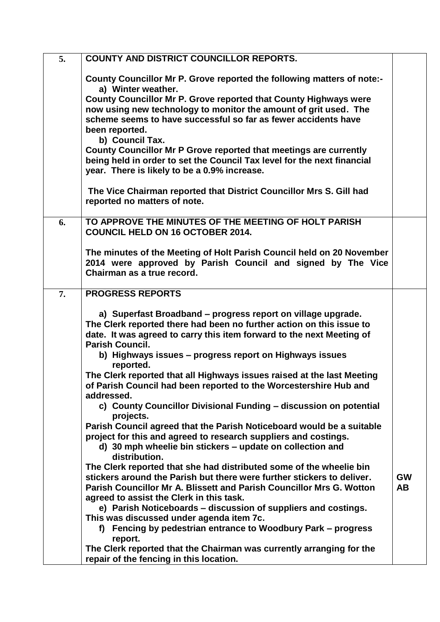| 5. | <b>COUNTY AND DISTRICT COUNCILLOR REPORTS.</b>                                                                                                                                                                                          |           |
|----|-----------------------------------------------------------------------------------------------------------------------------------------------------------------------------------------------------------------------------------------|-----------|
|    | County Councillor Mr P. Grove reported the following matters of note:-<br>a) Winter weather.<br>County Councillor Mr P. Grove reported that County Highways were                                                                        |           |
|    | now using new technology to monitor the amount of grit used. The<br>scheme seems to have successful so far as fewer accidents have<br>been reported.<br>b) Council Tax.                                                                 |           |
|    | County Councillor Mr P Grove reported that meetings are currently<br>being held in order to set the Council Tax level for the next financial<br>year. There is likely to be a 0.9% increase.                                            |           |
|    | The Vice Chairman reported that District Councillor Mrs S. Gill had<br>reported no matters of note.                                                                                                                                     |           |
| 6. | TO APPROVE THE MINUTES OF THE MEETING OF HOLT PARISH<br><b>COUNCIL HELD ON 16 OCTOBER 2014.</b>                                                                                                                                         |           |
|    | The minutes of the Meeting of Holt Parish Council held on 20 November<br>2014 were approved by Parish Council and signed by The Vice<br>Chairman as a true record.                                                                      |           |
| 7. | <b>PROGRESS REPORTS</b>                                                                                                                                                                                                                 |           |
|    | a) Superfast Broadband – progress report on village upgrade.<br>The Clerk reported there had been no further action on this issue to<br>date. It was agreed to carry this item forward to the next Meeting of<br><b>Parish Council.</b> |           |
|    | b) Highways issues - progress report on Highways issues<br>reported.                                                                                                                                                                    |           |
|    | The Clerk reported that all Highways issues raised at the last Meeting<br>of Parish Council had been reported to the Worcestershire Hub and<br>addressed.                                                                               |           |
|    | c) County Councillor Divisional Funding - discussion on potential<br>projects.                                                                                                                                                          |           |
|    | Parish Council agreed that the Parish Noticeboard would be a suitable<br>project for this and agreed to research suppliers and costings.<br>d) 30 mph wheelie bin stickers – update on collection and                                   |           |
|    | distribution.<br>The Clerk reported that she had distributed some of the wheelie bin                                                                                                                                                    |           |
|    | stickers around the Parish but there were further stickers to deliver.                                                                                                                                                                  | <b>GW</b> |
|    | Parish Councillor Mr A. Blissett and Parish Councillor Mrs G. Wotton<br>agreed to assist the Clerk in this task.                                                                                                                        | <b>AB</b> |
|    | e) Parish Noticeboards - discussion of suppliers and costings.<br>This was discussed under agenda item 7c.                                                                                                                              |           |
|    | f) Fencing by pedestrian entrance to Woodbury Park – progress<br>report.                                                                                                                                                                |           |
|    | The Clerk reported that the Chairman was currently arranging for the<br>repair of the fencing in this location.                                                                                                                         |           |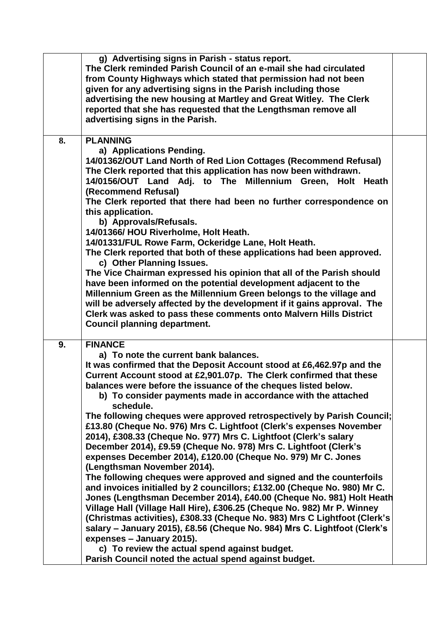|    | g) Advertising signs in Parish - status report.<br>The Clerk reminded Parish Council of an e-mail she had circulated<br>from County Highways which stated that permission had not been<br>given for any advertising signs in the Parish including those<br>advertising the new housing at Martley and Great Witley. The Clerk<br>reported that she has requested that the Lengthsman remove all<br>advertising signs in the Parish.                                                                                                                                                                                                                                                                                                                                                                                                                                                                                                                                                                                                                                                                                                                                                                                                                                                                                                                   |  |
|----|-------------------------------------------------------------------------------------------------------------------------------------------------------------------------------------------------------------------------------------------------------------------------------------------------------------------------------------------------------------------------------------------------------------------------------------------------------------------------------------------------------------------------------------------------------------------------------------------------------------------------------------------------------------------------------------------------------------------------------------------------------------------------------------------------------------------------------------------------------------------------------------------------------------------------------------------------------------------------------------------------------------------------------------------------------------------------------------------------------------------------------------------------------------------------------------------------------------------------------------------------------------------------------------------------------------------------------------------------------|--|
| 8. | <b>PLANNING</b><br>a) Applications Pending.<br>14/01362/OUT Land North of Red Lion Cottages (Recommend Refusal)<br>The Clerk reported that this application has now been withdrawn.<br>14/0156/OUT Land Adj. to The Millennium Green, Holt Heath<br>(Recommend Refusal)<br>The Clerk reported that there had been no further correspondence on<br>this application.<br>b) Approvals/Refusals.<br>14/01366/ HOU Riverholme, Holt Heath.<br>14/01331/FUL Rowe Farm, Ockeridge Lane, Holt Heath.<br>The Clerk reported that both of these applications had been approved.<br>c) Other Planning Issues.<br>The Vice Chairman expressed his opinion that all of the Parish should<br>have been informed on the potential development adjacent to the<br>Millennium Green as the Millennium Green belongs to the village and<br>will be adversely affected by the development if it gains approval. The<br>Clerk was asked to pass these comments onto Malvern Hills District<br><b>Council planning department.</b>                                                                                                                                                                                                                                                                                                                                        |  |
| 9. | <b>FINANCE</b><br>a) To note the current bank balances.<br>It was confirmed that the Deposit Account stood at £6,462.97p and the<br>Current Account stood at £2,901.07p. The Clerk confirmed that these<br>balances were before the issuance of the cheques listed below.<br>b) To consider payments made in accordance with the attached<br>schedule.<br>The following cheques were approved retrospectively by Parish Council;<br>£13.80 (Cheque No. 976) Mrs C. Lightfoot (Clerk's expenses November<br>2014), £308.33 (Cheque No. 977) Mrs C. Lightfoot (Clerk's salary<br>December 2014), £9.59 (Cheque No. 978) Mrs C. Lightfoot (Clerk's<br>expenses December 2014), £120.00 (Cheque No. 979) Mr C. Jones<br>(Lengthsman November 2014).<br>The following cheques were approved and signed and the counterfoils<br>and invoices initialled by 2 councillors; £132.00 (Cheque No. 980) Mr C.<br>Jones (Lengthsman December 2014), £40.00 (Cheque No. 981) Holt Heath<br>Village Hall (Village Hall Hire), £306.25 (Cheque No. 982) Mr P. Winney<br>(Christmas activities), £308.33 (Cheque No. 983) Mrs C Lightfoot (Clerk's<br>salary – January 2015), £8.56 (Cheque No. 984) Mrs C. Lightfoot (Clerk's<br>expenses - January 2015).<br>c) To review the actual spend against budget.<br>Parish Council noted the actual spend against budget. |  |